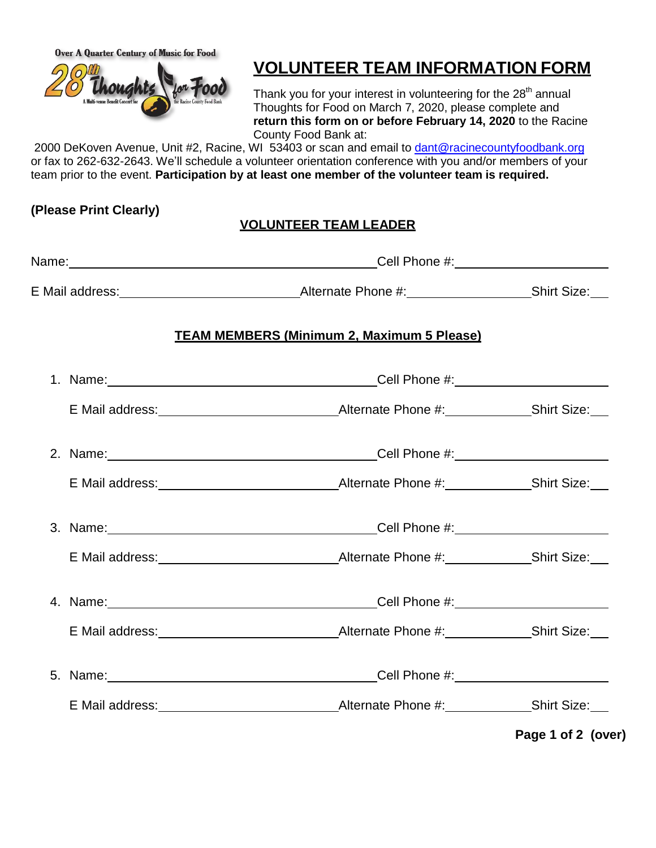**Over A Quarter Century of Music for Food** 



# **VOLUNTEER TEAM INFORMATION FORM**

Thank you for your interest in volunteering for the 28<sup>th</sup> annual Thoughts for Food on March 7, 2020, please complete and **return this form on or before February 14, 2020** to the Racine County Food Bank at:

2000 DeKoven Avenue, Unit #2, Racine, WI 53403 or scan and email to [dant@racinecountyfoodbank.org](mailto:dant@racinecountyfoodbank.org) or fax to 262-632-2643. We'll schedule a volunteer orientation conference with you and/or members of your team prior to the event. **Participation by at least one member of the volunteer team is required.**

#### **(Please Print Clearly)**

### **VOLUNTEER TEAM LEADER**

| <b>TEAM MEMBERS (Minimum 2, Maximum 5 Please)</b>                                                                                                                                                                              |                    |  |  |  |
|--------------------------------------------------------------------------------------------------------------------------------------------------------------------------------------------------------------------------------|--------------------|--|--|--|
| 1. Name: 1. Name: 1. Name: 1. Name: 1. Name: 1. Name: 1. Name: 1. Name: 1. Name: 1. Name: 1. Name: 1. Name: 1. Name: 1. Name: 1. Name: 1. Name: 1. Name: 1. Name: 1. Name: 1. Name: 1. Name: 1. Name: 1. Name: 1. Name: 1. Nam |                    |  |  |  |
|                                                                                                                                                                                                                                |                    |  |  |  |
| 2. Name: 2. Name: 2. Name: 2. Name: 2. Name: 2. Name: 2. Name: 2. Name: 2. Name: 2. Name: 2. Name: 2. Name: 2. Name: 2. Name: 2. Name: 2. Name: 2. Name: 2. Name: 2. Name: 2. Name: 2. Name: 2. Name: 2. Name: 2. Name: 2. Nam |                    |  |  |  |
|                                                                                                                                                                                                                                |                    |  |  |  |
| 3. Name: 2008. [2013] Cell Phone #: 2014. [2013] Cell Phone #: 2014. [2013] Cell Phone #: 2014. [2014] Cell Phone #: 2014. [2014] 2014. [2014] 2014. [2014] 2014. [2014] 2014. [2014] 2014. [2014] 2014. [2014] 2014. [2014] 2 |                    |  |  |  |
|                                                                                                                                                                                                                                |                    |  |  |  |
| 4. Name: 1. 2008. [2010] Cell Phone #: 2010. [2010] Cell Phone #: 2010 2010 2010 2010 2011 2012 2020                                                                                                                           |                    |  |  |  |
|                                                                                                                                                                                                                                |                    |  |  |  |
|                                                                                                                                                                                                                                |                    |  |  |  |
|                                                                                                                                                                                                                                |                    |  |  |  |
|                                                                                                                                                                                                                                | Page 1 of 2 (over) |  |  |  |